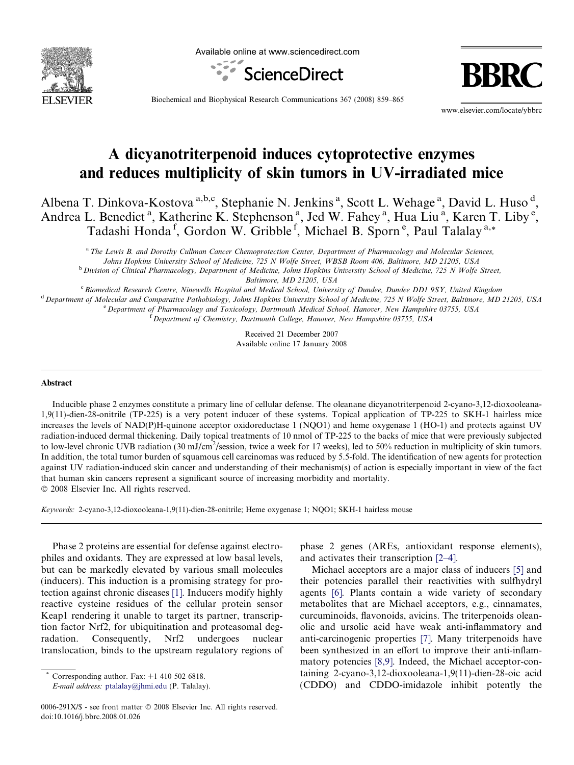

Available online at www.sciencedirect.com



Biochemical and Biophysical Research Communications 367 (2008) 859–865

www.elsevier.com/locate/ybbrc

# A dicyanotriterpenoid induces cytoprotective enzymes and reduces multiplicity of skin tumors in UV-irradiated mice

Albena T. Dinkova-Kostova<sup>a,b,c</sup>, Stephanie N. Jenkins<sup>a</sup>, Scott L. Wehage<sup>a</sup>, David L. Huso<sup>d</sup>, Andrea L. Benedict<sup>a</sup>, Katherine K. Stephenson<sup>a</sup>, Jed W. Fahey<sup>a</sup>, Hua Liu<sup>a</sup>, Karen T. Liby<sup>e</sup>, Tadashi Honda<sup>f</sup>, Gordon W. Gribble<sup>f</sup>, Michael B. Sporn<sup>e</sup>, Paul Talalay<sup>a,\*</sup>

<sup>a</sup>The Lewis B. and Dorothy Cullman Cancer Chemoprotection Center, Department of Pharmacology and Molecular Sciences, Johns Hopkins University School of Medicine, 725 N Wolfe Street, WBSB Room 406, Baltimore, MD 21205, USA <sup>b</sup> Division of Clinical Pharmacology, Department of Medicine, Johns Hopkins University School of Medicine, 725 N Wolfe Street,

Baltimore, MD 21205, USA

<sup>c</sup> Biomedical Research Centre, Ninewells Hospital and Medical School, University of Dundee, Dundee DD1 9SY, United Kingdom <sup>d</sup> Department of Molecular and Comparative Pathobiology, Johns Hopkins University School of Medicine, 725 N Wolfe Street, Baltimore, MD 21205, USA <sup>e</sup> Department of Pharmacology and Toxicology, Dartmouth Medical School, Hanover, New Hampshire 03755, USA <sup>f</sup> Department of Chemistry, Dartmouth College, Hanover, New Hampshire 03755, USA

> Received 21 December 2007 Available online 17 January 2008

#### Abstract

Inducible phase 2 enzymes constitute a primary line of cellular defense. The oleanane dicyanotriterpenoid 2-cyano-3,12-dioxooleana-1,9(11)-dien-28-onitrile (TP-225) is a very potent inducer of these systems. Topical application of TP-225 to SKH-1 hairless mice increases the levels of NAD(P)H-quinone acceptor oxidoreductase 1 (NQO1) and heme oxygenase 1 (HO-1) and protects against UV radiation-induced dermal thickening. Daily topical treatments of 10 nmol of TP-225 to the backs of mice that were previously subjected to low-level chronic UVB radiation (30 mJ/cm<sup>2</sup>/session, twice a week for 17 weeks), led to 50% reduction in multiplicity of skin tumors. In addition, the total tumor burden of squamous cell carcinomas was reduced by 5.5-fold. The identification of new agents for protection against UV radiation-induced skin cancer and understanding of their mechanism(s) of action is especially important in view of the fact that human skin cancers represent a significant source of increasing morbidity and mortality.  $© 2008$  Elsevier Inc. All rights reserved.

Keywords: 2-cyano-3,12-dioxooleana-1,9(11)-dien-28-onitrile; Heme oxygenase 1; NQO1; SKH-1 hairless mouse

Phase 2 proteins are essential for defense against electrophiles and oxidants. They are expressed at low basal levels, but can be markedly elevated by various small molecules (inducers). This induction is a promising strategy for protection against chronic diseases [\[1\].](#page-5-0) Inducers modify highly reactive cysteine residues of the cellular protein sensor Keap1 rendering it unable to target its partner, transcription factor Nrf2, for ubiquitination and proteasomal degradation. Consequently, Nrf2 undergoes nuclear translocation, binds to the upstream regulatory regions of

Corresponding author. Fax:  $+1$  410 502 6818.

E-mail address: [ptalalay@jhmi.edu](mailto:ptalalay@jhmi.edu) (P. Talalay).

phase 2 genes (AREs, antioxidant response elements), and activates their transcription [\[2–4\].](#page-5-0)

Michael acceptors are a major class of inducers [\[5\]](#page-5-0) and their potencies parallel their reactivities with sulfhydryl agents [\[6\].](#page-5-0) Plants contain a wide variety of secondary metabolites that are Michael acceptors, e.g., cinnamates, curcuminoids, flavonoids, avicins. The triterpenoids oleanolic and ursolic acid have weak anti-inflammatory and anti-carcinogenic properties [\[7\].](#page-5-0) Many triterpenoids have been synthesized in an effort to improve their anti-inflammatory potencies [\[8,9\]](#page-5-0). Indeed, the Michael acceptor-containing 2-cyano-3,12-dioxooleana-1,9(11)-dien-28-oic acid (CDDO) and CDDO-imidazole inhibit potently the

<sup>0006-291</sup>X/\$ - see front matter © 2008 Elsevier Inc. All rights reserved. doi:10.1016/j.bbrc.2008.01.026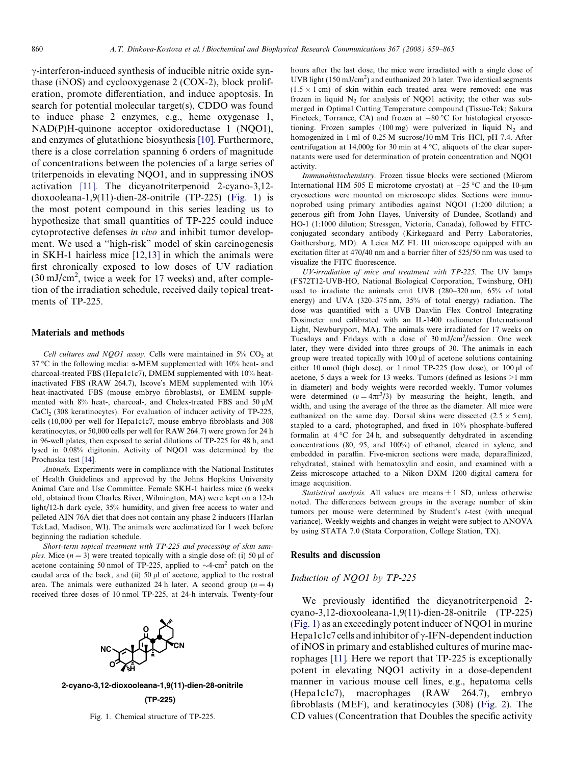$\gamma$ -interferon-induced synthesis of inducible nitric oxide synthase (iNOS) and cyclooxygenase 2 (COX-2), block proliferation, promote differentiation, and induce apoptosis. In search for potential molecular target(s), CDDO was found to induce phase 2 enzymes, e.g., heme oxygenase 1, NAD(P)H-quinone acceptor oxidoreductase 1 (NQO1), and enzymes of glutathione biosynthesis [\[10\].](#page-5-0) Furthermore, there is a close correlation spanning 6 orders of magnitude of concentrations between the potencies of a large series of triterpenoids in elevating NQO1, and in suppressing iNOS activation [\[11\]](#page-6-0). The dicyanotriterpenoid 2-cyano-3,12 dioxooleana-1,9(11)-dien-28-onitrile (TP-225) (Fig. 1) is the most potent compound in this series leading us to hypothesize that small quantities of TP-225 could induce cytoprotective defenses in vivo and inhibit tumor development. We used a ''high-risk" model of skin carcinogenesis in SKH-1 hairless mice [\[12,13\]](#page-6-0) in which the animals were first chronically exposed to low doses of UV radiation  $(30 \text{ mJ/cm}^2$ , twice a week for 17 weeks) and, after completion of the irradiation schedule, received daily topical treatments of TP-225.

#### Materials and methods

Cell cultures and NQO1 assay. Cells were maintained in  $5\%$  CO<sub>2</sub> at 37 °C in the following media:  $\alpha$ -MEM supplemented with 10% heat- and charcoal-treated FBS (Hepa1c1c7), DMEM supplemented with 10% heatinactivated FBS (RAW 264.7), Iscove's MEM supplemented with 10% heat-inactivated FBS (mouse embryo fibroblasts), or EMEM supplemented with 8% heat-, charcoal-, and Chelex-treated FBS and 50  $\mu$ M CaCl<sub>2</sub> (308 keratinocytes). For evaluation of inducer activity of TP-225, cells (10,000 per well for Hepa1c1c7, mouse embryo fibroblasts and 308 keratinocytes, or 50,000 cells per well for RAW 264.7) were grown for 24 h in 96-well plates, then exposed to serial dilutions of TP-225 for 48 h, and lysed in 0.08% digitonin. Activity of NQO1 was determined by the Prochaska test [\[14\].](#page-6-0)

Animals. Experiments were in compliance with the National Institutes of Health Guidelines and approved by the Johns Hopkins University Animal Care and Use Committee. Female SKH-1 hairless mice (6 weeks old, obtained from Charles River, Wilmington, MA) were kept on a 12-h light/12-h dark cycle, 35% humidity, and given free access to water and pelleted AIN 76A diet that does not contain any phase 2 inducers (Harlan TekLad, Madison, WI). The animals were acclimatized for 1 week before beginning the radiation schedule.

Short-term topical treatment with TP-225 and processing of skin samples. Mice  $(n = 3)$  were treated topically with a single dose of: (i) 50 µl of acetone containing 50 nmol of TP-225, applied to  $\sim$ 4-cm<sup>2</sup> patch on the caudal area of the back, and (ii)  $50 \mu l$  of acetone, applied to the rostral area. The animals were euthanized 24 h later. A second group  $(n = 4)$ received three doses of 10 nmol TP-225, at 24-h intervals. Twenty-four



**2-cyano-3,12-dioxooleana-1,9(11)-dien-28-onitrile (TP-225)**

Fig. 1. Chemical structure of TP-225.

hours after the last dose, the mice were irradiated with a single dose of UVB light (150 mJ/cm<sup>2</sup>) and euthanized 20 h later. Two identical segments  $(1.5 \times 1 \text{ cm})$  of skin within each treated area were removed: one was frozen in liquid  $N<sub>2</sub>$  for analysis of NQO1 activity; the other was submerged in Optimal Cutting Temperature compound (Tissue-Tek; Sakura Fineteck, Torrance, CA) and frozen at  $-80$  °C for histological cryosectioning. Frozen samples (100 mg) were pulverized in liquid  $N_2$  and homogenized in 1 ml of 0.25 M sucrose/10 mM Tris–HCl, pH 7.4. After centrifugation at 14,000g for 30 min at  $4^{\circ}$ C, aliquots of the clear supernatants were used for determination of protein concentration and NQO1 activity.

Immunohistochemistry. Frozen tissue blocks were sectioned (Microm International HM 505 E microtome cryostat) at  $-25$  °C and the 10-µm cryosections were mounted on microscope slides. Sections were immunoprobed using primary antibodies against NQO1 (1:200 dilution; a generous gift from John Hayes, University of Dundee, Scotland) and HO-1 (1:1000 dilution; Stressgen, Victoria, Canada), followed by FITCconjugated secondary antibody (Kirkegaard and Perry Laboratories, Gaithersburg, MD). A Leica MZ FL III microscope equipped with an excitation filter at 470/40 nm and a barrier filter of 525/50 nm was used to visualize the FITC fluorescence.

UV-irradiation of mice and treatment with TP-225. The UV lamps (FS72T12-UVB-HO, National Biological Corporation, Twinsburg, OH) used to irradiate the animals emit UVB (280–320 nm, 65% of total energy) and UVA (320–375 nm, 35% of total energy) radiation. The dose was quantified with a UVB Daavlin Flex Control Integrating Dosimeter and calibrated with an IL-1400 radiometer (International Light, Newburyport, MA). The animals were irradiated for 17 weeks on Tuesdays and Fridays with a dose of  $30 \text{ mJ/cm}^2$ /session. One week later, they were divided into three groups of 30. The animals in each group were treated topically with 100 µl of acetone solutions containing either 10 nmol (high dose), or 1 nmol TP-225 (low dose), or 100 µl of acetone, 5 days a week for 13 weeks. Tumors (defined as lesions >1 mm in diameter) and body weights were recorded weekly. Tumor volumes were determined  $(v = 4\pi r^3/3)$  by measuring the height, length, and width, and using the average of the three as the diameter. All mice were euthanized on the same day. Dorsal skins were dissected  $(2.5 \times 5 \text{ cm})$ , stapled to a card, photographed, and fixed in 10% phosphate-buffered formalin at  $4^{\circ}$ C for 24 h, and subsequently dehydrated in ascending concentrations (80, 95, and 100%) of ethanol, cleared in xylene, and embedded in paraffin. Five-micron sections were made, deparaffinized, rehydrated, stained with hematoxylin and eosin, and examined with a Zeiss microscope attached to a Nikon DXM 1200 digital camera for image acquisition.

Statistical analysis. All values are means  $\pm 1$  SD, unless otherwise noted. The differences between groups in the average number of skin tumors per mouse were determined by Student's t-test (with unequal variance). Weekly weights and changes in weight were subject to ANOVA by using STATA 7.0 (Stata Corporation, College Station, TX).

#### Results and discussion

## Induction of NQO1 by TP-225

We previously identified the dicyanotriterpenoid 2 cyano-3,12-dioxooleana-1,9(11)-dien-28-onitrile (TP-225) (Fig. 1) as an exceedingly potent inducer of NQO1 in murine Hepa1c1c7 cells and inhibitor of  $\gamma$ -IFN-dependent induction of iNOS in primary and established cultures of murine macrophages [\[11\].](#page-6-0) Here we report that TP-225 is exceptionally potent in elevating NQO1 activity in a dose-dependent manner in various mouse cell lines, e.g., hepatoma cells (Hepa1c1c7), macrophages (RAW 264.7), embryo fibroblasts (MEF), and keratinocytes (308) [\(Fig. 2\)](#page-2-0). The CD values (Concentration that Doubles the specific activity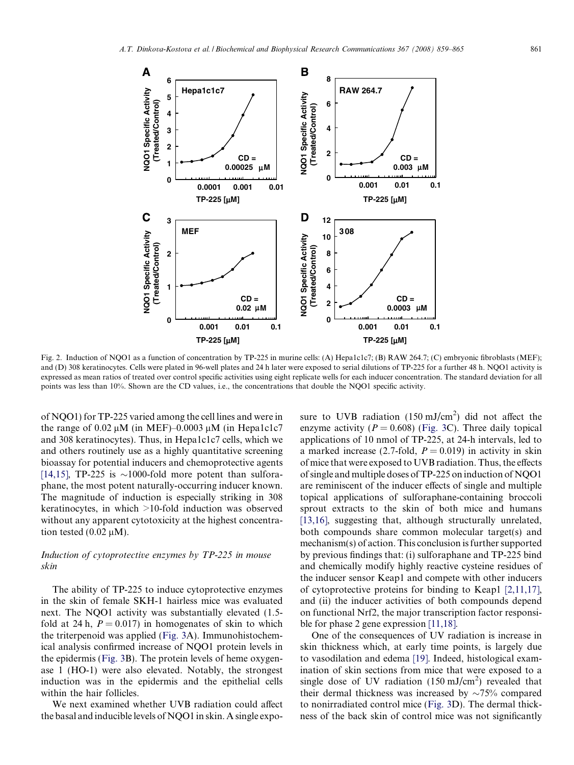<span id="page-2-0"></span>

Fig. 2. Induction of NQO1 as a function of concentration by TP-225 in murine cells: (A) Hepa1c1c7; (B) RAW 264.7; (C) embryonic fibroblasts (MEF); and (D) 308 keratinocytes. Cells were plated in 96-well plates and 24 h later were exposed to serial dilutions of TP-225 for a further 48 h. NQO1 activity is expressed as mean ratios of treated over control specific activities using eight replicate wells for each inducer concentration. The standard deviation for all points was less than 10%. Shown are the CD values, i.e., the concentrations that double the NQO1 specific activity.

of NQO1) for TP-225 varied among the cell lines and were in the range of  $0.02 \mu M$  (in MEF)–0.0003  $\mu M$  (in Hepa1c1c7 and 308 keratinocytes). Thus, in Hepa1c1c7 cells, which we and others routinely use as a highly quantitative screening bioassay for potential inducers and chemoprotective agents [\[14,15\],](#page-6-0) TP-225 is  $\sim$ 1000-fold more potent than sulforaphane, the most potent naturally-occurring inducer known. The magnitude of induction is especially striking in 308 keratinocytes, in which >10-fold induction was observed without any apparent cytotoxicity at the highest concentration tested  $(0.02 \mu M)$ .

# Induction of cytoprotective enzymes by TP-225 in mouse skin

The ability of TP-225 to induce cytoprotective enzymes in the skin of female SKH-1 hairless mice was evaluated next. The NQO1 activity was substantially elevated (1.5 fold at 24 h,  $P = 0.017$  in homogenates of skin to which the triterpenoid was applied [\(Fig. 3](#page-3-0)A). Immunohistochemical analysis confirmed increase of NQO1 protein levels in the epidermis [\(Fig. 3B](#page-3-0)). The protein levels of heme oxygenase 1 (HO-1) were also elevated. Notably, the strongest induction was in the epidermis and the epithelial cells within the hair follicles.

We next examined whether UVB radiation could affect the basal and inducible levels of NQO1 in skin. A single expo-

sure to UVB radiation  $(150 \text{ mJ/cm}^2)$  did not affect the enzyme activity ( $P = 0.608$ ) ([Fig. 3C](#page-3-0)). Three daily topical applications of 10 nmol of TP-225, at 24-h intervals, led to a marked increase (2.7-fold,  $P = 0.019$ ) in activity in skin of mice that were exposed to UVB radiation. Thus, the effects of single and multiple doses of TP-225 on induction of NQO1 are reminiscent of the inducer effects of single and multiple topical applications of sulforaphane-containing broccoli sprout extracts to the skin of both mice and humans [\[13,16\],](#page-6-0) suggesting that, although structurally unrelated, both compounds share common molecular target(s) and mechanism(s) of action. This conclusion is further supported by previous findings that: (i) sulforaphane and TP-225 bind and chemically modify highly reactive cysteine residues of the inducer sensor Keap1 and compete with other inducers of cytoprotective proteins for binding to Keap1 [\[2,11,17\],](#page-5-0) and (ii) the inducer activities of both compounds depend on functional Nrf2, the major transcription factor responsible for phase 2 gene expression [\[11,18\].](#page-6-0)

One of the consequences of UV radiation is increase in skin thickness which, at early time points, is largely due to vasodilation and edema [\[19\].](#page-6-0) Indeed, histological examination of skin sections from mice that were exposed to a single dose of UV radiation  $(150 \text{ mJ/cm}^2)$  revealed that their dermal thickness was increased by  $\sim 75\%$  compared to nonirradiated control mice ([Fig. 3D](#page-3-0)). The dermal thickness of the back skin of control mice was not significantly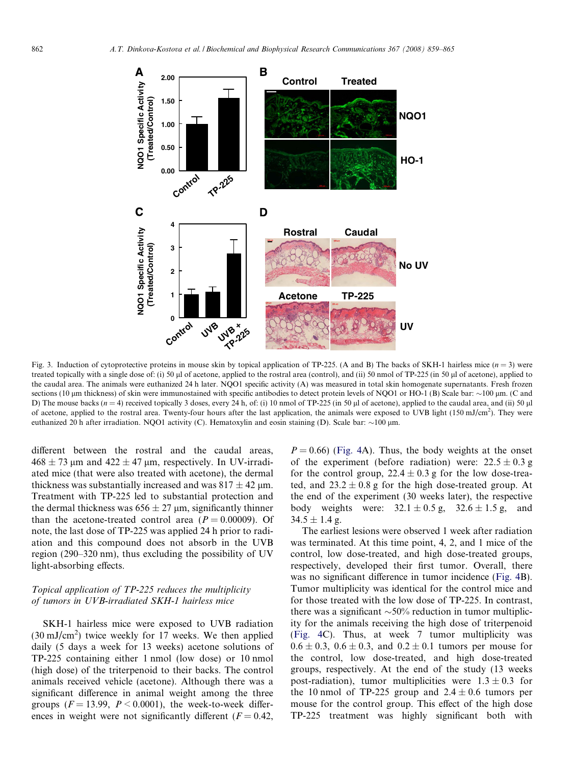<span id="page-3-0"></span>

Fig. 3. Induction of cytoprotective proteins in mouse skin by topical application of TP-225. (A and B) The backs of SKH-1 hairless mice  $(n = 3)$  were treated topically with a single dose of: (i) 50  $\mu$ l of acetone, applied to the rostral area (control), and (ii) 50 nmol of TP-225 (in 50  $\mu$ l of acetone), applied to the caudal area. The animals were euthanized 24 h later. NQO1 specific activity (A) was measured in total skin homogenate supernatants. Fresh frozen sections (10 μm thickness) of skin were immunostained with specific antibodies to detect protein levels of NQO1 or HO-1 (Β) Scale bar: ~100 μm. (C and D) The mouse backs  $(n = 4)$  received topically 3 doses, every 24 h, of: (i) 10 nmol of TP-225 (in 50  $\mu$ l of acetone), applied to the caudal area, and (ii) 50  $\mu$ of acetone, applied to the rostral area. Twenty-four hours after the last application, the animals were exposed to UVB light  $(150 \text{ mJ/cm}^2)$ . They were euthanized 20 h after irradiation. NQO1 activity (C). Hematoxylin and eosin staining (D). Scale bar:  $\sim$ 100 µm.

different between the rostral and the caudal areas,  $468 \pm 73$  µm and  $422 \pm 47$  µm, respectively. In UV-irradiated mice (that were also treated with acetone), the dermal thickness was substantially increased and was  $817 \pm 42$  µm. Treatment with TP-225 led to substantial protection and the dermal thickness was  $656 \pm 27$  µm, significantly thinner than the acetone-treated control area  $(P = 0.00009)$ . Of note, the last dose of TP-225 was applied 24 h prior to radiation and this compound does not absorb in the UVB region (290–320 nm), thus excluding the possibility of UV light-absorbing effects.

# Topical application of TP-225 reduces the multiplicity of tumors in UVB-irradiated SKH-1 hairless mice

SKH-1 hairless mice were exposed to UVB radiation  $(30 \text{ mJ/cm}^2)$  twice weekly for 17 weeks. We then applied daily (5 days a week for 13 weeks) acetone solutions of TP-225 containing either 1 nmol (low dose) or 10 nmol (high dose) of the triterpenoid to their backs. The control animals received vehicle (acetone). Although there was a significant difference in animal weight among the three groups ( $F = 13.99$ ,  $P \le 0.0001$ ), the week-to-week differences in weight were not significantly different ( $F = 0.42$ ,

 $P = 0.66$ ) [\(Fig. 4A](#page-4-0)). Thus, the body weights at the onset of the experiment (before radiation) were:  $22.5 \pm 0.3$  g for the control group,  $22.4 \pm 0.3$  g for the low dose-treated, and  $23.2 \pm 0.8$  g for the high dose-treated group. At the end of the experiment (30 weeks later), the respective body weights were:  $32.1 \pm 0.5$  g,  $32.6 \pm 1.5$  g, and  $34.5 \pm 1.4$  g.

The earliest lesions were observed 1 week after radiation was terminated. At this time point, 4, 2, and 1 mice of the control, low dose-treated, and high dose-treated groups, respectively, developed their first tumor. Overall, there was no significant difference in tumor incidence ([Fig. 4](#page-4-0)B). Tumor multiplicity was identical for the control mice and for those treated with the low dose of TP-225. In contrast, there was a significant  $\sim$  50% reduction in tumor multiplicity for the animals receiving the high dose of triterpenoid [\(Fig. 4C](#page-4-0)). Thus, at week 7 tumor multiplicity was  $0.6 \pm 0.3$ ,  $0.6 \pm 0.3$ , and  $0.2 \pm 0.1$  tumors per mouse for the control, low dose-treated, and high dose-treated groups, respectively. At the end of the study (13 weeks post-radiation), tumor multiplicities were  $1.3 \pm 0.3$  for the 10 nmol of TP-225 group and  $2.4 \pm 0.6$  tumors per mouse for the control group. This effect of the high dose TP-225 treatment was highly significant both with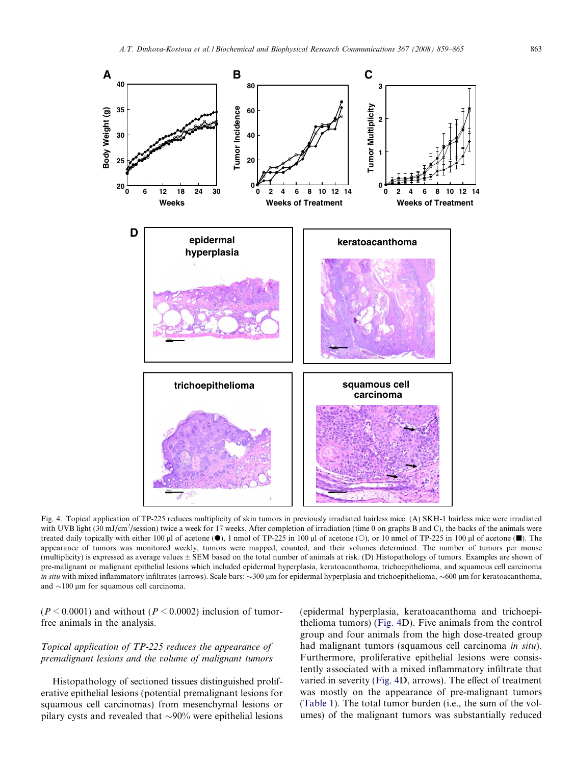<span id="page-4-0"></span>

Fig. 4. Topical application of TP-225 reduces multiplicity of skin tumors in previously irradiated hairless mice. (A) SKH-1 hairless mice were irradiated with UVB light (30 mJ/cm<sup>2</sup>/session) twice a week for 17 weeks. After completion of irradiation (time 0 on graphs B and C), the backs of the animals were treated daily topically with either 100  $\mu$ l of acetone ( $\bullet$ ), 1 nmol of TP-225 in 100  $\mu$ l of acetone ( $\circ$ ), or 10 nmol of TP-225 in 100  $\mu$ l of acetone ( $\bullet$ ). The appearance of tumors was monitored weekly, tumors were mapped, counted, and their volumes determined. The number of tumors per mouse (multiplicity) is expressed as average values ± SEM based on the total number of animals at risk. (D) Histopathology of tumors. Examples are shown of pre-malignant or malignant epithelial lesions which included epidermal hyperplasia, keratoacanthoma, trichoepithelioma, and squamous cell carcinoma in situ with mixed inflammatory infiltrates (arrows). Scale bars: ~300 µm for epidermal hyperplasia and trichoepithelioma, ~600 µm for keratoacanthoma, and  $\sim$ 100 µm for squamous cell carcinoma.

 $(P \le 0.0001)$  and without  $(P \le 0.0002)$  inclusion of tumorfree animals in the analysis.

# Topical application of TP-225 reduces the appearance of premalignant lesions and the volume of malignant tumors

Histopathology of sectioned tissues distinguished proliferative epithelial lesions (potential premalignant lesions for squamous cell carcinomas) from mesenchymal lesions or pilary cysts and revealed that  $\sim$ 90% were epithelial lesions

(epidermal hyperplasia, keratoacanthoma and trichoepithelioma tumors) (Fig. 4D). Five animals from the control group and four animals from the high dose-treated group had malignant tumors (squamous cell carcinoma in situ). Furthermore, proliferative epithelial lesions were consistently associated with a mixed inflammatory infiltrate that varied in severity (Fig. 4D, arrows). The effect of treatment was mostly on the appearance of pre-malignant tumors ([Table 1\)](#page-5-0). The total tumor burden (i.e., the sum of the volumes) of the malignant tumors was substantially reduced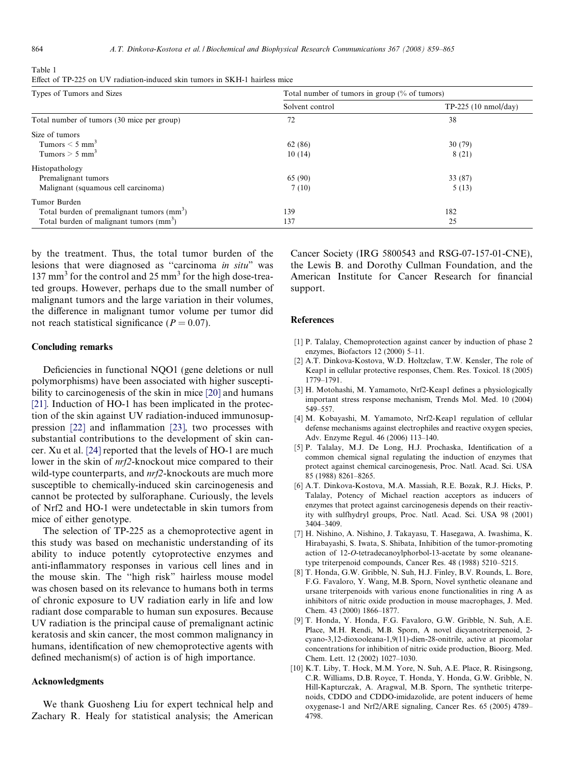<span id="page-5-0"></span>Table 1

| Effect of TP-225 on UV radiation-induced skin tumors in SKH-1 hairless mice |  |
|-----------------------------------------------------------------------------|--|
|-----------------------------------------------------------------------------|--|

| Types of Tumors and Sizes                             | Total number of tumors in group $\frac{1}{6}$ of tumors) |                        |
|-------------------------------------------------------|----------------------------------------------------------|------------------------|
|                                                       | Solvent control                                          | $TP-225$ (10 nmol/day) |
| Total number of tumors (30 mice per group)            | 72                                                       | 38                     |
| Size of tumors                                        |                                                          |                        |
| Tumors $\leq 5$ mm <sup>3</sup>                       | 62 (86)                                                  | 30(79)                 |
| Tumors $> 5$ mm <sup>3</sup>                          | 10(14)                                                   | 8(21)                  |
| Histopathology                                        |                                                          |                        |
| Premalignant tumors                                   | 65 (90)                                                  | 33 (87)                |
| Malignant (squamous cell carcinoma)                   | 7(10)                                                    | 5(13)                  |
| Tumor Burden                                          |                                                          |                        |
| Total burden of premalignant tumors $\text{(mm)}^3$ ) | 139                                                      | 182                    |
| Total burden of malignant tumors (mm <sup>3</sup> )   | 137                                                      | 25                     |

by the treatment. Thus, the total tumor burden of the lesions that were diagnosed as ''carcinoma in situ" was 137 mm<sup>3</sup> for the control and 25 mm<sup>3</sup> for the high dose-treated groups. However, perhaps due to the small number of malignant tumors and the large variation in their volumes, the difference in malignant tumor volume per tumor did not reach statistical significance ( $P = 0.07$ ).

## Concluding remarks

Deficiencies in functional NQO1 (gene deletions or null polymorphisms) have been associated with higher susceptibility to carcinogenesis of the skin in mice [\[20\]](#page-6-0) and humans [\[21\]](#page-6-0). Induction of HO-1 has been implicated in the protection of the skin against UV radiation-induced immunosuppression [\[22\]](#page-6-0) and inflammation [\[23\],](#page-6-0) two processes with substantial contributions to the development of skin cancer. Xu et al. [\[24\]](#page-6-0) reported that the levels of HO-1 are much lower in the skin of nrf2-knockout mice compared to their wild-type counterparts, and  $nrf2$ -knockouts are much more susceptible to chemically-induced skin carcinogenesis and cannot be protected by sulforaphane. Curiously, the levels of Nrf2 and HO-1 were undetectable in skin tumors from mice of either genotype.

The selection of TP-225 as a chemoprotective agent in this study was based on mechanistic understanding of its ability to induce potently cytoprotective enzymes and anti-inflammatory responses in various cell lines and in the mouse skin. The ''high risk" hairless mouse model was chosen based on its relevance to humans both in terms of chronic exposure to UV radiation early in life and low radiant dose comparable to human sun exposures. Because UV radiation is the principal cause of premalignant actinic keratosis and skin cancer, the most common malignancy in humans, identification of new chemoprotective agents with defined mechanism(s) of action is of high importance.

# Acknowledgments

We thank Guosheng Liu for expert technical help and Zachary R. Healy for statistical analysis; the American Cancer Society (IRG 5800543 and RSG-07-157-01-CNE), the Lewis B. and Dorothy Cullman Foundation, and the American Institute for Cancer Research for financial support.

## References

- [1] P. Talalay, Chemoprotection against cancer by induction of phase 2 enzymes, Biofactors 12 (2000) 5–11.
- [2] A.T. Dinkova-Kostova, W.D. Holtzclaw, T.W. Kensler, The role of Keap1 in cellular protective responses, Chem. Res. Toxicol. 18 (2005) 1779–1791.
- [3] H. Motohashi, M. Yamamoto, Nrf2-Keap1 defines a physiologically important stress response mechanism, Trends Mol. Med. 10 (2004) 549–557.
- [4] M. Kobayashi, M. Yamamoto, Nrf2-Keap1 regulation of cellular defense mechanisms against electrophiles and reactive oxygen species, Adv. Enzyme Regul. 46 (2006) 113–140.
- [5] P. Talalay, M.J. De Long, H.J. Prochaska, Identification of a common chemical signal regulating the induction of enzymes that protect against chemical carcinogenesis, Proc. Natl. Acad. Sci. USA 85 (1988) 8261–8265.
- [6] A.T. Dinkova-Kostova, M.A. Massiah, R.E. Bozak, R.J. Hicks, P. Talalay, Potency of Michael reaction acceptors as inducers of enzymes that protect against carcinogenesis depends on their reactivity with sulfhydryl groups, Proc. Natl. Acad. Sci. USA 98 (2001) 3404–3409.
- [7] H. Nishino, A. Nishino, J. Takayasu, T. Hasegawa, A. Iwashima, K. Hirabayashi, S. Iwata, S. Shibata, Inhibition of the tumor-promoting action of 12-O-tetradecanoylphorbol-13-acetate by some oleananetype triterpenoid compounds, Cancer Res. 48 (1988) 5210–5215.
- [8] T. Honda, G.W. Gribble, N. Suh, H.J. Finley, B.V. Rounds, L. Bore, F.G. Favaloro, Y. Wang, M.B. Sporn, Novel synthetic oleanane and ursane triterpenoids with various enone functionalities in ring A as inhibitors of nitric oxide production in mouse macrophages, J. Med. Chem. 43 (2000) 1866–1877.
- [9] T. Honda, Y. Honda, F.G. Favaloro, G.W. Gribble, N. Suh, A.E. Place, M.H. Rendi, M.B. Sporn, A novel dicyanotriterpenoid, 2 cyano-3,12-dioxooleana-1,9(11)-dien-28-onitrile, active at picomolar concentrations for inhibition of nitric oxide production, Bioorg. Med. Chem. Lett. 12 (2002) 1027–1030.
- [10] K.T. Liby, T. Hock, M.M. Yore, N. Suh, A.E. Place, R. Risingsong, C.R. Williams, D.B. Royce, T. Honda, Y. Honda, G.W. Gribble, N. Hill-Kapturczak, A. Aragwal, M.B. Sporn, The synthetic triterpenoids, CDDO and CDDO-imidazolide, are potent inducers of heme oxygenase-1 and Nrf2/ARE signaling, Cancer Res. 65 (2005) 4789– 4798.